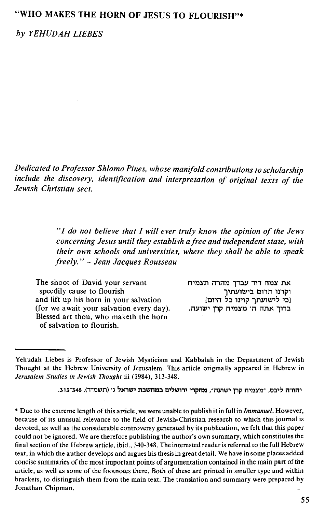## **"WHO MAKES THE HORN OF JESUS TO FLOURISH"\***

## *by YEHUDAH L1EBES*

*Dedicated to Professor Shlomo Pines, whose manifold contributions to scholarship include the discovery, identification and interpretation of original texts of the Jewish Christian sect.*

> *"1 do not believe that I will ever truly know the opinion of the Jews concerning Jesus until they establish a free and independent state, with their own schools and universities, where they shall be able to speak freely.״ - Jean Jacques Rousseau*

**The shoot of David your servant speedily cause to flourish and lift up his horn in your salvation (for we await your salvation every day). Blessed art thou, who maketh the horn of salvation to flourish.**

**תצמיח מהרה עבדך דוד צמח את בישרעתין תרום וקרנו היום[ בל קוינו לי שועתן ]כי ישועה. קרן מצמיח ה׳ אתה ברוך**

**313.־348 ג׳)תשמ״ד(, ישראל במחשבת ירושלים מחקרי ישועה״, קרן ״מצמיח ליבם, יהודה**

**Yehudah Liebes is Professor of Jewish Mysticism and Kabbalah in the Department of Jewish Thought at the Hebrew University of Jerusalem. This article originally appeared in Hebrew in** *Jerusalem Studies in Jewish Thought* iii (1984), 313-348.

**<sup>\*</sup> Due to the extreme length of this article, we were unable to publish it in full in** *Immanuel.* **However, because of its unusual relevance to the field of Jewish-Christian research to which this journal is devoted, as well as the considerable controversy generated by its publication, we felt that this paper could not be ignored. We are therefore publishing the author's own summary, which constitutes the final section of the Hebrew article, ibid., 340-348. The interested reader is referred to the full Hebrew text, in which the author develops and argues his thesis in great detail. We have in some places added** concise summaries of the most important points of argumentation contained in the main part of the **article, as well as some of the footnotes there. Both of these are printed in smaller type and within brackets, to distinguish them from the main text. The translation and summary were prepared by Jonathan Chipman.**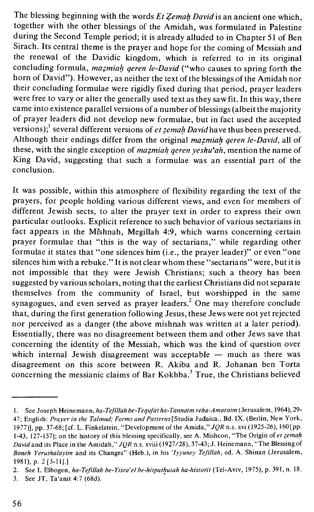**The blessing beginning with the words** *Et Zemah David* **is an ancient one which, together with the other blessings of the Amidah, was formulated in Palestine during the Second Temple period; it is already alluded to in Chapter 51 of Ben Sirach. Its central theme is the prayer and hope for the coming of Messiah and the renewal of the Davidic kingdom, which is referred to in its original concluding formula,** *mazmiah qeren le-David* **("who causes to spring forth the horn of David"). However, as neither the text of the blessings of the Amidah nor their concluding formulae were rigidly fixed during that period, prayer leaders were free to vary or alter the generally used text as they saw fit. In this way, there came into existence parallel versions of a number of blessings (albeit the majority of prayer leaders did not develop new formulae, but in fact used the accepted** versions);<sup>1</sup> several different versions of *et zemah David* have thus been preserved. **Although their endings differ from the original** *mazmiah qeren le-David***, all of these, with the single exception of** *mazmiah qeren yeshu'ah***, mention the name of King David, suggesting that such a formulae was an essential part of the conclusion.**

**It was possible, within this atmosphere of flexibility regarding the text of the prayers, for people holding various different views, and even for members of different Jewish sects, to alter the prayer text in order to express their own particular outlooks. Explicit reference to such behavior of various sectarians in fact appears in the Mishnah, Megillah 4:9, which warns concerning certain prayer formulae that "this is the way of sectarians," while regarding other formulae it states that "one silences him (i.e., the prayer leader)" or even "one silences him with a rebuke." It is not clear whom these "sectarians" were, but it is not impossible that they were Jewish Christians; such a theory has been suggested by various scholars, noting that the earliest Christians did not separate themselves from the community of Israel, but worshipped in the same synagogues, and even served as prayer leaders.2 One may therefore conclude that, during the first generation following Jesus, these Jews were not yet rejected nor perceived as a danger (the above mishnah was written at a later period). Essentially, there was no disagreement between them and other Jews save that concerning the identity of the Messiah, which was the kind of question over which internal Jewish disagreement was acceptable — much as there was disagreement on this score between R. Akiba and R. Johanan ben Torta concerning the messianic claims of Bar Kokhba.3 True, the Christians believed**

**<sup>1.</sup> See Joseph Heinemann,** *ha-Tefillah be-Tequfat ha-Tannaim veha-Amoraim* **(Jerusalem, 1964), 29־ 47; English:** *Prayer in the Talmud; Forms and Patterns* **[Studia Judaica., Bd. IX. (Berlin, New York,** 1977)], pp. 37-68; [cf. L. Finkelstein, "Development of the Amida," *JQR* n.s. xvi (1925-26), 160 [pp. 1-43, 127-157]; on the history of this blessing specifically, see A. Mishcon, "The Origin of et zemah *David* **and its Place in the Amidah,"** *JQR* **n.s. xviii (1927/28), 37-43; J. Heinemann, "The Blessing of** *Boneh Yerushalayim* **and its Changes" (Heb.), in his** *'Iyyuney Tefillah***, ed. A. Shinan (Jerusalem, [1981]**, p. 2 [3-11].]

**<sup>2.</sup> See I. Elbogen,** *ha-Tefillah be-Yisra'el be-hitpathutah ha-historit* **(Tel-Aviv, 1975), p. 391, n. 18.**

**<sup>3.</sup> See JT, Ta'anit 4:7 (68d).**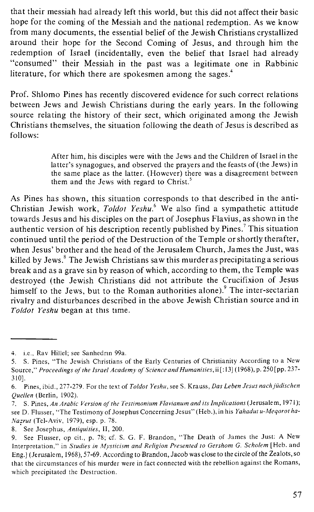**that their messiah had already left this world, but this did not affect their basic hope for the coming of the Messiah and the national redemption. As we know from many documents, the essential belief of the Jewish Christians crystallized around their hope for the Second Coming of Jesus, and through him the redemption of Israel (incidentally, even the belief that Israel had already "consumed" their Messiah in the past was a legitimate one in Rabbinic literature, for which there are spokesmen among the sages.4**

**Prof. Shlomo Pines has recently discovered evidence for such correct relations between Jews and Jewish Christians during the early years. In the following source relating the history of their sect, which originated among the Jewish Christians themselves, the situation following the death of Jesus is described as follows:**

> After him, his disciples were with the Jews and the Children of Israel in the latter's synagogues, and observed the prayers and the feasts of (the Jews) in the same place as the latter. (However) there was a disagreement between them and the Jews with regard to Christ.<sup>5</sup>

**As Pines has shown, this situation corresponds to that described in the anti-Christian Jewish work,** *Toldot Yeshu.6* **We also find a sympathetic attitude towards Jesus and his disciples on the part of Josephus Flavius, as shown in the authentic version of his description recently published by Pines.7 This situation continued until the period of the Destruction of the Temple or shortly therafter, when Jesus' brother and the head of the Jerusalem Church, James the Just, was killed by Jews.8 The Jewish Christians saw this murder as precipitating a serious break and as a grave sin by reason of which, according to them, the Temple was destroyed (the Jewish Christians did not attribute the Crucifixion of Jesus himself to the Jews, but to the Roman authorities alone).9 The inter-sectarian rivalry and disturbances described in the above Jewish Christian source and in** *Toldot Yeshu* **began at this time.**

**<sup>4</sup> . i.e., Rav Hillel; see Sanhedrin 99a.**

**<sup>5.</sup> S. Pines, "The Jewish Christians of the Early Centuries of Christianity According to a New Source,"** *Proceedings of the Israel Academy of Science and Humanities***, ii [: 13] (1968), p. 250 [pp. 237- 310].**

**<sup>6.</sup> Pines, ibid., 277279־. For the text of** *Toldot Yeshu***, see S. Krauss,** *Das Leben Jesus nach judischen Quellen* **(Berlin, 1902).**

**<sup>7.</sup> S. Pines,** *An Arabic Version of the Testimonium Flavianum and its Implications* **(Jerusalem, 1971); see D. Flusser, "The Testimony of Josephus Concerning Jesus" (Heb.), in his** *Yahadut u-Meqorot ha-Nazrut* **(Tel-Aviv, 1979), esp. p. 78.**

**<sup>8.</sup> See Josephus,** *Antiquities***, II, 200.**

**<sup>9.</sup> See Flusser, op cit., p. 78; cf. S. G. F. Brandon, "The Death of James the Just: A New Interpretation," in** *Studies in Mysticism and Religion Presented to Gershom G. Scholem* **[Heb. and** Eng.] (Jerusalem, 1968), 57-69. According to Brandon, Jacob was close to the circle of the Zealots, so **that the circumstances of his murder were in fact connected with the rebellion against the Romans, which precipitated the Destruction.**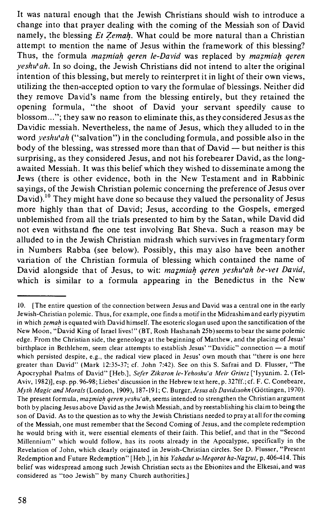**It was natural enough that the Jewish Christians should wish to introduce a change into that prayer dealing with the coming of the Messiah son of David namely, the blessing** *Et Zemah.* **What could be more natural than a Christian attempt to mention the name of Jesus within the framework of this blessing? Thus, the formula** *mazmiah qeren le-David* **was replaced by** *mazmiah qeren yeshu'ah.* **In so doing, the Jewish Christians did not intend to alter the original intention of this blessing, but merely to reinterpret it in light of their own views, utilizing the then-accepted option to vary the formulae of blessings. Neither did they remove David's name from the blessing entirely, but they retained the opening formula, "the shoot of David your servant speedily cause to blossom..."; they saw no reason to eliminate this, as they considered Jesus as the Davidic messiah. Nevertheless, the name of Jesus, which they alluded to in the** word *yeshu'ah* ("salvation") in the concluding formula, and possible also in the **body of the blessing, was stressed more than that of David — but neither is this surprising, as they considered Jesus, and not his forebearer David, as the longawaited Messiah. It was this belief which they wished to disseminate among the Jews (there is other evidence, both in the New Testament and in Rabbinic sayings, of the Jewish Christian polemic concerning the preference of Jesus over David).10 They might have done so because they valued the personality of Jesus more highly than that of David; Jesus, according to the Gospels, emerged unblemished from all the trials presented to him by the Satan, while David did not even withstand fhe one test involving Bat Sheva. Such a reason may be alluded to in the Jewish Christian midrash which survives in fragmentary form in Numbers Rabba (see below). Possibly, this may also have been another variation of the Christian formula of blessing which contained the name of** David alongside that of Jesus, to wit: *mazmiah qeren yeshu'ah be-vet David*, **which is similar to a formula appearing in the Benedictus in the New**

**<sup>10. [</sup>The entire question of the connection between Jesus and David was a central one in the early Jewish-Christian polemic. Thus, for example, one finds a motif in the Midrashim and early piyyutim in which** *zemah* **is equated with David himself. The esoteric slogan used upon the sanctification of the New Moon, "David King of Israel lives!" (BT, Rosh Hashanah 25b) seems to bear the same polemic edge. From the Christian side, the geneology at the beginning of Matthew, and the placing of Jesus' birthplace in Bethlehem, seem clear attempts to establish Jesus' "Davidic" connection — a motif which persisted despite, e.g., the radical view placed in Jesus' own mouth that "there is one here greater than David" (Mark 12:35-37; cf. John 7:42). See on this S. Safrai and D. Flusser, "The** Apocryphal Psalms of David" [Heb.], Sefer Zikaron le-Yehoshu'a Meir Grintz ['Iyyunim. 2. (Tel-**Aviv, 1982)], esp. pp. 96-98; Liebes' discussion in the Hebrew text here, p. 327ff.; cf. F. C. Conebeare,** *Myth Magic and Morals* **(London, 1909), 187-191; C. Burger,** *Jesus als Davidssohn* **(Gottingen, 1970). The present formula,** *mazmiah qeren yeshu'ah,* **seems intended to strengthen the Christian argument both by placing Jesus above David as the Jewish Messiah, and by reestablishing his claim to being the son of David. As to the question as to why the Jewish Christians needed to pray at all for the coming of the Messiah, one must remember that the Second Coming of Jesus, and the complete redemption he would bring with it, were essential elements of their faith. This belief, and that in the "Second Millennium" which would follow, has its roots already in the Apocalypse, specifically in the Revelation of John, which clearly originated in Jewish-Christian circles. See D. Flusser, "Present Redemption and Future Redemption" [Heb.], in his** *Yahadut u-Meqorot ha-Nazrut***, p. 406-414. This belief was widespread among such Jewish Christian sects as the Ebionites and the Elkesai, and was considered as "too Jewish" by many Church authorities.]**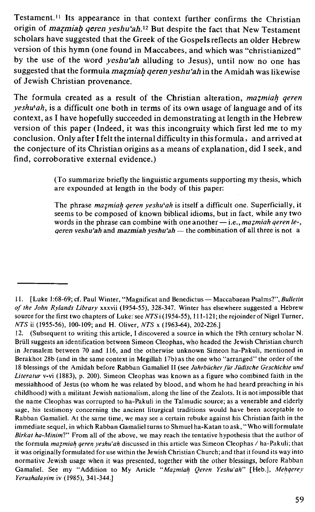**Testament.11 Its appearance in that context further confirms the Christian origin of** *mazmiah qeren yeshu'ah.12* **But despite the fact that New Testament scholars have suggested that the Greek of the Gospels reflects an older Hebrew version of this hymn (one found in Maccabees, and which was "christianized" by the use of the word** *yeshu'ah* **alluding to Jesus), until now no one has suggested that the formula** *mazmiah qeren yeshu'ah* **in the Amidah was likewise of Jewish Christian provenance.**

**The formula created as a result of the Christian alteration,** *mazmiah qeren yeshu'ah,* **is a difficult one both in terms of its own usage of language and of its context, as I have hopefully succeeded in demonstrating at length in the Hebrew version of this paper (Indeed, it was this incongruity which first led me to my conclusion. Only after I felt the internal difficulty in this formula, and arrived at the conjecture of its Christian origins as a means of explanation, did I seek, and find, corroborative external evidence.)**

> (To summarize briefly the linguistic arguments supporting my thesis, which are expounded at length in the body of this paper:

> The phrase *mazmiah qeren yeshu'ah* is itself a difficult one. Superficially, it seems to be composed of known biblical idioms, but in fact, while any two words in the phrase can combine with one another— i.e., *mazmiah qeren le*־, *qeren veshu'ah* and *mazmiah yeshu'ah* — the combination of all three is not a

**<sup>11. [</sup>Luke 1:68-69; cf. Paul Winter, "Magnificat and Benedictus — Maccabaean Psalms?'',** *Bulletin of the John Rylands Library* **xxxvii (1954-55), 328-347. Winter has elsewhere suggested a Hebrew source for the first two chapters of Luke: see** *NTS* **i (1954-55), 111-121; the rejoinder of Nigel Turner,** *NTS* **ii (1955-56), 100-109; and H. Oliver,** *NTS* **x (1963-64), 202-226.]**

**<sup>12. (</sup>Subsequent to writing this article, I discovered a source in which the 19th century scholar N. Briill suggests an identification between Simeon Cleophas, who headed the Jewish Christian church in Jerusalem between 70 and 116, and the otherwise unknown Simeon ha-Pakuli, mentioned in Berakhot 28b (and in the same context in Megillah 17b) as the one who "arranged" the order of the 18 blessings of the Amidah before Rabban Gamaliel II (see** *Jahrbiicher fur Jiidische Geschichte und Literatur* **v-vi (1883), p. 200). Simeon Cleophas was known as a figure who combined faith in the messiahhood of Jestis (to whom he was related by blood, and whom he had heard preaching in his childhood) with a militant Jewish nationalism, along the line of the Zealots. It is not impossible that the name Cleophas was corrupted to ha-Pakuli in the Talmudic source; as a venerable and elderly sage, his testimony concerning the ancient liturgical traditions would have been acceptable to Rabban Gamaliel. At the same time, we may see a certain rebuke against his Christian faith in the immediate sequel, in which Rabban Gamaliel turns to Shmuel ha-Katan to ask, "Who will formulate** *Birkat ha-MinimV***' From all of the above, we may reach the tentative hypothesis that the author of the formula** *mazmiah qeren yeshu'ah* **discussed in this article was Simeon Cleophas / ha-Pakuli; that it was originally formulated for use within the Jewish Christian Church; and that it found its way into normative Jewish usage when it was presented, together with the other blessings, before Rabban Gamaliel. See my "Addition to My Article "***Mazmiah Qeren Yeshu'ah***" [Heb.],** *Mehqerey Yerushalayim* **iv (1985), 341-344.]**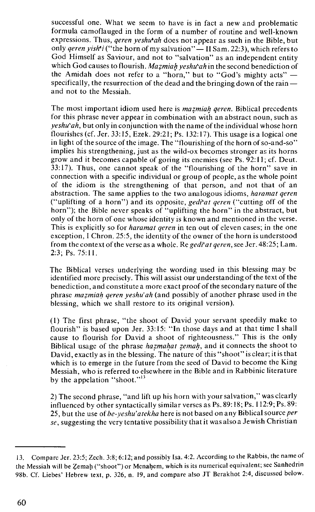successful one. What we seem to have is in fact a new and problematic formula camoflauged in the form of a number of routine and well-known expressions. Thus, *qeren yeshu'ah* does not appear as such in the Bible, but only *qeren yistfi* ("the horn of my salvation" — II Sam. 22:3), which refers to God Himself as Saviour, and not to "salvation" as an independent entity which God causes to flourish. *Mazmiah yeshu'ah* in the second benediction of the Amidah does not refer to a "horn," but to "God's mighty acts" specifically, the resurrection of the dead and the bringing down of the rain and not to the Messiah.

The most important idiom used here is *mazmiah qeren.* Biblical precedents for this phrase never appear in combination with an abstract noun, such as *yeshu'ah*, but only in conjunction with the name of the individual whose horn flourishes (cf. Jer. 33:15, Ezek. 29:21; Ps. 132:17). This usage is a logical one in light of the source of the image. The "flourishing of the horn of so-and-so" implies his strengthening, just as the wild-ox becomes stronger as its horns grow and it becomes capable of goring its enemies (see Ps. 92:11; cf. Deut. 33:17). Thus, one cannot speak of the "flourishing of the horn" save in connection with a specific individual or group of people, as the whole point of the idiom is the strengthening of that person, and not that of an abstraction. The same applies to the two analogous idioms, *haramat qeren* ("uplifting of a horn") and its opposite, *gedi'at qeren* ("cutting off of the horn"); the Bible never speaks of "uplifting the horn" in the abstract, but only of the horn of one whose identity is known and mentioned in the verse. This is explicitly so for *haramat qeren* in ten out of eleven cases; in the one exception, I Chron. 25:5, the identity of the owner of the horn is understood from the context of the verse as a whole. Re *gedi'at qeren,* see Jer. 48:25; Lam. 2:3; Ps. 75:11.

The Biblical verses underlying the wording used in this blessing may be identified more precisely. This will assist our understanding of the text of the benediction, and constitute a more exact proof of the secondary nature of the phrase *mazmiah qeren yeshu'ah* (and possibly of another phrase used in the blessing, which we shall restore to its original version).

(1) The first phrase, "the shoot of David your servant speedily make to flourish" is based upon Jer. 33:15: " In those days and at that time I shall cause to flourish for David a shoot of righteousness." This is the only Biblical usage of the phrase *hazmahat zemah*, and it connects the shoot to David, exactly as in the blessing. The nature of this "shoot" is clear; it is that which is to emerge in the future from the seed of David to become the King Messiah, who is referred to elsewhere in the Bible and in Rabbinic literature by the appelation "shoot."<sup>13</sup>

2) The second phrase, "and lift up his horn with your salvation," was clearly influenced by other syntactically similar verses as Ps. 89:18; Ps. 112:9; Ps. 89: 25, but the use of *be-yeshu'atekha* here is not based on any Biblical source *per se*, suggesting the very tentative possibility that it was also a Jewish Christian

**<sup>13.</sup> Compare Jer. 23:5; Zech. 3:8; 6:12; and possibly Isa. 4:2. According to the Rabbis, the name of the Messiah will be Zemah ("shoot") or Menahem, which is its numerical equivalent; see Sanhedrin 98b. Cf. Liebes' Hebrew text, p. 326, n. 19, and compare also JT Berakhot 2:4, discussed below.**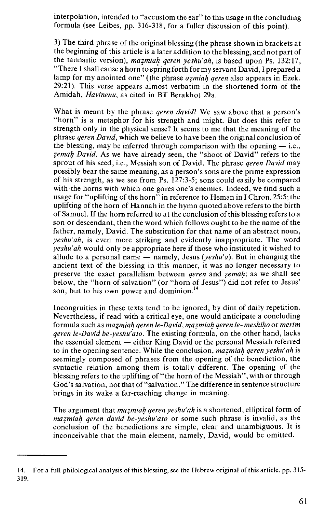interpolation, intended to "accustom the ear" to this usage in the concluding formula (see Leibes, pp. 316-318, for a fuller discussion of this point).

3) The third phrase of the original blessing (the phrase shown in brackets at the beginning of this article is a later addition to the blessing, and not part of the tannaitic version), *mazmiah qeren yeshu'ah*, is based upon Ps. 132:17, "There I shall cause a horn to spring forth for my servant David, I prepared a lamp for my anointed one" (the phrase *azmiah qeren* also appears in Ezek. 29:21). This verse appears almost verbatim in the shortened form of the Amidah, *Havinenu*, as cited in BT Berakhot 29a.

What is meant by the phrase *geren david*? We saw above that a person's "horn" is a metaphor for his strength and might. But does this refer to strength only in the physical sense? It seems to me that the meaning of the phrase *qeren David*, which we believe to have been the original conclusion of the blessing, may be inferred through comparison with the opening  $-$  i.e., *zemah David.* As we have already seen, the "shoot of David" refers to the sprout of his seed, i.e., Messiah son of David. The phrase *qeren David* may possibly bear the same meaning, as a person's sons are the prime expression of his strength, as we see from Ps. 127:3-5; sons could easily be compared with the horns with which one gores one's enemies. Indeed, we find such a usage for "uplifting of the horn" in reference to Heman in I Chron. 25:5; the uplifting of the horn of Hannah in the hymn quoted above refers to the birth of Samuel. If the horn referred to at the conclusion of this blessing refers to a son or descendant, then the word which follows ought to be the name of the father, namely, David. The substitution for that name of an abstract noun, *yeshu'ah*, is even more striking and evidently inappropriate. The word *yeshu'ah* would only be appropriate here if those who instituted it wished to allude to a personal name — namely, Jesus *(yeshu'a*). But in changing the ancient text of the blessing in this manner, it was no longer necessary to preserve the exact parallelism between *qeren* and *zemah*; as we shall see below, the "horn of salvation" (or "horn of Jesus") did not refer to Jesus' son, but to his own power and dominion.<sup>14</sup>

Incongruities in these texts tend to be ignored, by dint of daily repetition. Nevertheless, if read with a critical eye, one would anticipate a concluding formula such as *mazmiah qeren le-David, mazmiah qeren le- meshiho* or *merim qeren le-David be-yeshu'ato.* The existing formula, on the other hand, lacks the essential element — either King David or the personal Messiah referred to in the opening sentence. While the conclusion, *mazmiah qeren yeshu'ah* is seemingly composed of phrases from the opening of the benediction, the syntactic relation among them is totally different. The opening of the blessing refers to the uplifting of "the horn of the Messiah", with or through God's salvation, not that of "salvation." The difference in sentence structure brings in its wake a far-reaching change in meaning.

The argument that *mazmiah qeren yeshu'ah* is a shortened, elliptical form of *mazmiah qeren david be-yeshu'ato* or some such phrase is invalid, as the conclusion of the benedictions are simple, clear and unambiguous. It is inconceivable that the main element, namely, David, would be omitted.

**<sup>14.</sup> For a full philological analysis of this blessing, see the Hebrew original of this article, pp. 315- 319.**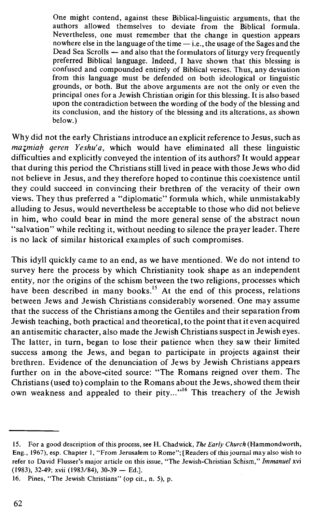One might contend, against these Biblical-linguistic arguments, that the authors allowed themselves to deviate from the Biblical formula. Nevertheless, one must remember that the change in question appears nowhere else in the language of the time — i.e., the usage of the Sages and the Dead Sea Scrolls — and also that the formulators of liturgy very frequently preferred Biblical language. Indeed, I have shown that this blessing is confused and compounded entirely of Biblical verses. Thus, any deviation from this language must be defended on both ideological or linguistic grounds, or both. But the above arguments are not the only or even the principal ones for a Jewish Christian origin for this blessing. It is also based upon the contradiction between the wording of the body of the blessing and its conclusion, and the history of the blessing and its alterations, as shown below.)

**Why did not the early Christians introduce an explicit reference to Jesus, such as** *mazmiah qeren Yeshu'a*, which would have eliminated all these linguistic **difficulties and explicitly conveyed the intention of its authors? It would appear that during this period the Christians still lived in peace with those Jews who did not believe in Jesus, and they therefore hoped to continue this coexistence until they could succeed in convincing their brethren of the veracity of their own views. They thus preferred a "diplomatic" formula which, while unmistakably alluding to Jesus, would nevertheless be acceptable to those who did not believe in him, who could bear in mind the more general sense of the abstract noun "salvation" while reciting it, without needing to silence the prayer leader. There is no lack of similar historical examples of such compromises.**

**This idyll quickly came to an end, as we have mentioned. We do not intend to survey here the process by which Christianity took shape as an independent entity, nor the origins of the schism between the two religions, processes which** have been described in many books.<sup>15</sup> At the end of this process, relations **between Jews and Jewish Christians considerably worsened. One may assume that the success of the Christians among the Gentiles and their separation from Jewish teaching, both practical and theoretical, to the point that it even acquired an antisemitic character, also made the Jewish Christians suspect in Jewish eyes. The latter, in turn, began to lose their patience when they saw their limited success among the Jews, and began to participate in projects against their brethren. Evidence of the denunciation of Jews by Jewish Christians appears further on in the above-cited source: "The Romans reigned over them. The Christians (used to) complain to the Romans about the Jews, showed them their own weakness and appealed to their pity..."16 This treachery of the Jewish**

**<sup>15.</sup> For a good description of this process, see H. Chadwick,** *The Early Church* **(Hammondworth, Eng., 1967), esp. Chapter 1, "From Jerusalem to Rome"; [Readers of this journal may also wish to refer to David Flusser's major article on this issue, "The Jewish-Christian Schism,"** *Immanuel* **xvi (1983), 32-49; xvii (1983/84), 30-39 — Ed.].**

**<sup>16.</sup> Pines, "The Jewish Christians" (op cit., n. 5), p.**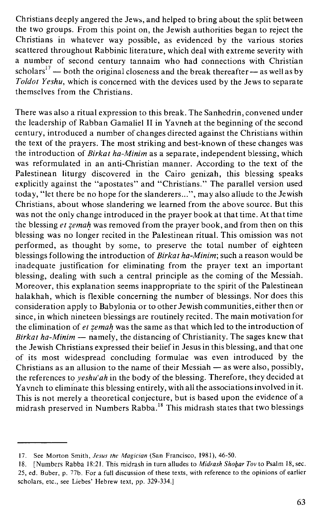**Christians deeply angered the Jews, and helped to bring about the split between the two groups. From this point on, the Jewish authorities began to reject the Christians in whatever way possible, as evidenced by the various stories scattered throughout Rabbinic literature, which deal with extreme severity with a number of second century tannaim who had connections with Christian**  $scholas<sup>17</sup>$   $-$  both the original closeness and the break thereafter  $-$  as well as by *Toldot Yeshu,* **which is concerned with the devices used by the Jews to separate themselves from the Christians.**

**There was also a ritual expression to this break. The Sanhedrin, convened under the leadership of Rabban Gamaliel II in Yavneh at the beginning of the second century, introduced a number of changes directed against the Christians within the text of the prayers. The most striking and best-known of these changes was the introduction of** *Birkat ha-Minim* **as a separate, independent blessing, which was reformulated in an anti-Christian manner. According to the text of the Palestinean liturgy discovered in the Cairo genizah, this blessing speaks explicitly against the "apostates" and "Christians." The parallel version used today, "let there be no hope for the slanderers...", may also allude to the Jewish Christians, about whose slandering we learned from the above source. But this was not the only change introduced in the prayer book at that time. At that time the blessing** *et zemah* **was removed from the prayer book, and from then on this blessing was no longer recited in the Palestinean ritual. This omission was not performed, as thought by some, to preserve the total number of eighteen blessings following the introduction of** *Birkat ha-Minim***; such a reason would be inadequate justification for eliminating from the prayer text an important blessing, dealing with such a central principle as the coming of the Messiah. Moreover, this explanation seems inappropriate to the spirit of the Palestinean halakhah, which is flexible concerning the number of blessings. Nor does this consideration apply to Babylonia or to other Jewish communities, either then or since, in which nineteen blessings are routinely recited. The main motivation for the elimination of** *et zemah* **was the same as that which led to the introduction of** *Birkat ha-Minim* **— namely, the distancing of Christianity. The sages knew that the Jewish Christians expressed their belief in Jesus in this blessing, and that one of its most widespread concluding formulae was even introduced by the Christians as an allusion to the name of their Messiah — as were also, possibly,** the references to *yeshu'ah* in the body of the blessing. Therefore, they decided at **Yavneh to eliminate this blessing entirely, with all the associations involved in it. This is not merely a theoretical conjecture, but is based upon the evidence of a midrash preserved in Numbers Rabba.18 This midrash states that two blessings**

<sup>17.</sup> See Morton Smith, *Jesus the Magician* (San Francisco, 1981), 46-50.

**<sup>18. [</sup>Numbers Rabba 18:21. This midrash in turn alludes to** *Midrash Shofrar Tov* **to Psalm 18, sec. 25, ed. Buber, p. 77b. For a full discussion of these texts, with reference to the opinions of earlier** scholars, etc., see Liebes' Hebrew text, pp. 329-334.]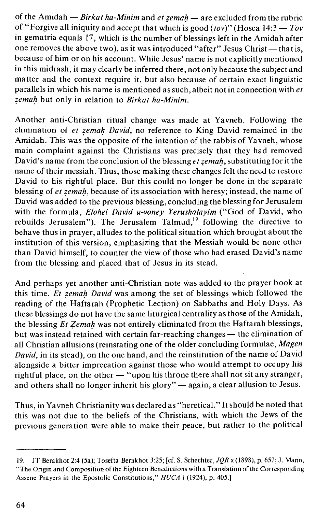**of the Amidah —** *Birkat ha-Minim* **and** *et zemah* **— are excluded from the rubric of "Forgive all iniquity and accept that which is good (***tov***)" (Hosea 14:3 —** *Tov* **in gematria equals 17, which is the number of blessings left in the Amidah after one removes the above two), as it was introduced "after" Jesus Christ — that is, because of him or on his account. While Jesus' name is not explicitly mentioned in this midrash, it may clearly be inferred there, not only because the subject and matter and the context require it, but also because of certain exact linguistic parallels in which his name is mentioned as such, albeit not in connection with** *et zemah* **but only in relation to** *Birkat ha-Minim.*

**Another anti-Christian ritual change was made at Yavneh. Following the elimination of** *et zemah David***, no reference to King David remained in the Amidah. This was the opposite of the intention of the rabbis of Yavneh, whose main complaint against the Christians was precisely that they had removed David's name from the conclusion of the blessing** *et zemah***, substituting for it the name of their messiah. Thus, those making these changes felt the need to restore David to his rightful place. But this could no longer be done in the separate blessing of** *et zemah***, because of its association with heresy; instead, the name of David was added to the previous blessing, concluding the blessing for Jerusalem with the formula,** *Elohei David u-voney Yerushalayim* **("God of David, who** rebuilds Jerusalem"). The Jerusalem Talmud,<sup>19</sup> following the directive to **behave thus in prayer, alludes to the political situation which brought about the institution of this version, emphasizing that the Messiah would be none other than David himself, to counter the view of those who had erased David's name from the blessing and placed that of Jesus in its stead.**

**And perhaps yet another anti-Christian note was added to the prayer book at this time.** *Et zemah David* **was among the set of blessings which followed the reading of the Haftarah (Prophetic Lection) on Sabbaths and Holy Days. As these blessings do not have the same liturgical centrality as those of the Amidah, the blessing** *Et Zemah* **was not entirely eliminated from the Haftarah blessings, but was instead retained with certain far-reaching changes — the elimination of all Christian allusions (reinstating one of the older concluding formulae,** *Magen David***, in its stead), on the one hand, and the reinstitution of the name of David alongside a bitter imprecation against those who would attempt to occupy his rightful place, on the other — "upon his throne there shall not sit any stranger, and others shall no longer inherit his glory" — again, a clear allusion to Jesus.**

**Thus, in Yavneh Christianity was declared as "heretical." It should be noted that this was not due to the beliefs of the Christians, with which the Jews of the previous generation were able to make their peace, but rather to the political**

**<sup>19.</sup> JT Berakhot 2:4 (5a); Tosefta Berakhot 3:25; [cf. S. Schechter,** *JQR* **x (1898), p. 657; J. Mann, "The Origin and Composition of the Eighteen Benedictions with a Translation of the Corresponding Assene Prayers in the Epostolic Constitutions,''** *HUCA* **i (1924), p. 405.]**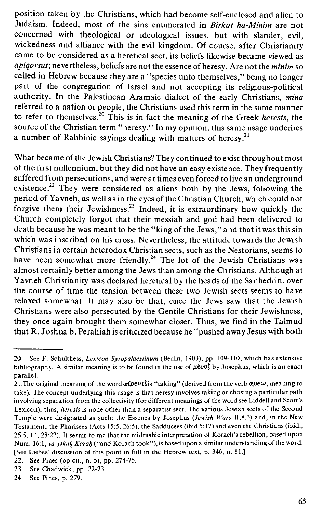**position taken by the Christians, which had become self-enclosed and alien to Judaism. Indeed, most of the sins enumerated in** *Birkat ha-Minim* **are not concerned with theological or ideological issues, but with slander, evil, wickedness and alliance with the evil kingdom. Of course, after Christianity came to be considered as a heretical sect, its beliefs likewise became viewed as** *apiqorsut***; nevertheless, beliefs are not the essence of heresy. Are not the** *minim* **so called in Hebrew because they are a "species unto themselves," being no longer part of the congregation of Israel and not accepting its religious-political authority. In the Palestinean Aramaic dialect of the early Christians,** *mina* **referred to a nation or people; the Christians used this term in the same manner to refer to themselves.20 This is in fact the meaning of the Greek** *heresis,* **the source of the Christian term "heresy." In my opinion, this same usage underlies a number of Rabbinic sayings dealing with matters of heresy.21**

**What became of the Jewish Christians? They continued to exist throughout most of the first millennium, but they did not have an easy existence. They frequently suffered from persecutions, and were at times even forced to live an underground existence.22 They were considered as aliens both by the Jews, following the period of Yavneh, as well as in the eyes of the Christian Church, which could not forgive them their Jewishness.23 Indeed, it is extraordinary how quickly the Church completely forgot that their messiah and god had been delivered to death because he was meant to be the "king of the Jews," and that it was this sin which was inscribed on his cross. Nevertheless, the attitude towards the Jewish Christians in certain heterodox Christian sects, such as the Nestorians, seems to** have been somewhat more friendly.<sup>24</sup> The lot of the Jewish Christians was **almost certainly better among the Jews than among the Christians. Although at Yavneh Christianity was declared heretical by the heads of the Sanhedrin, over the course of time the tension between these two Jewish sects seems to have relaxed somewhat. It may also be that, once the Jews saw that the Jewish Christians were also persecuted by the Gentile Christians for their Jewishness, they once again brought them somewhat closer. Thus, we find in the Talmud that R. Joshua b. Perahiah is criticized because he "pushed away Jesus with both**

<sup>20.</sup> See F. Schulthess, *Lexicon Syropalaestinum* (Berlin, 1903), pp. 109-110, which has extensive **bibliography. A similar meaning is to be found in the use of peuaf by Josephus, which is an exact parallel.**

<sup>21.</sup> The original meaning of the word  $\alpha \beta \in \beta$  is "taking" (derived from the verb  $\alpha \beta \in \alpha$ ), meaning to **take). The concept underlying this usage is that heresy involves taking or chosing a particular path involving separation from the collectivity (for different meanings of the word see Liddell and Scott's Lexicon); thus,** *heresis* **is none other than a separatist sect. The various Jewish sects of the Second Temple were designated as such: the Essenes by Josephus** *{Jewish Wars* **II.8.3) and, in the New Testament, the Pharisees (Acts 15:5; 26:5), the Sadducees (ibid 5:17) and even the Christians (ibid., 25:5, 14; 28:22). It seems to me that the midrashic interpretation of Korach's rebellion, based upon Num. 16:1,** *va-yikah Korah* **{"and Korach took"), is based upon a similar understanding of the word. [See Liebes' discussion of this point in full in the Hebrew text, p. 346, n. 8L]**

**<sup>22.</sup> See Pines (op cit., n. 5), pp. 274-75.**

<sup>23.</sup> See Chadwick, pp. 22-23.

**<sup>24.</sup> See Pines, p. 279.**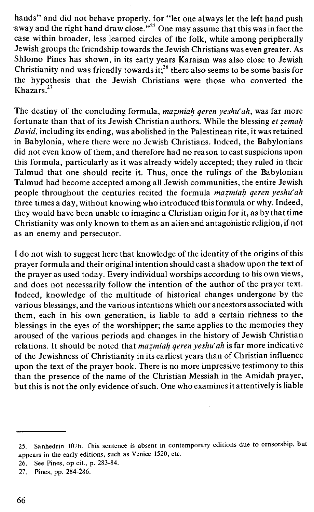**hands" and did not behave properly, for "let one always let the left hand push** away and the right hand draw close.<sup>225</sup> One may assume that this was in fact the **case within broader, less learned circles of the folk, while among peripherally Jewish groups the friendship towards the Jewish Christians was even greater. As Shlomo Pines has shown, in its early years Karaism was also close to Jewish Christianity and was friendly towards it;26 there also seems to be some basis for the hypothesis that the Jewish Christians were those who converted the Khazars.27**

**The destiny of the concluding formula,** *mazmiah qeren yeshu'ah***, was far more fortunate than that of its Jewish Christian authors. While the blessing** *et zemah David***, including its ending, was abolished in the Palestinean rite, it was retained in Babylonia, where there were no Jewish Christians. Indeed, the Babylonians did not even know of them, and therefore had no reason to cast suspicions upon this formula, particularly as it was already widely accepted; they ruled in their Talmud that one should recite it. Thus, once the rulings of the Babylonian Talmud had become accepted among all Jewish communities, the entire Jewish** people throughout the centuries recited the formula *mazmiah qeren yeshu'ah* **three times a day, without knowing who introduced this formula or why. Indeed, they would have been unable to imagine a Christian origin for it, as by that time Christianity was only known to them as an alien and antagonistic religion, if not as an enemy and persecutor.**

**I do not wish to suggest here that knowledge of the identity of the origins of this prayer formula and their original intention should cast a shadow upon the text of the prayer as used today. Every individual worships according to his own views, and does not necessarily follow the intention of the author of the prayer text. Indeed, knowledge of the multitude of historical changes undergone by the various blessings, and the various intentions which our ancestors associated with them, each in his own generation, is liable to add a certain richness to the blessings in the eyes of the worshipper; the same applies to the memories they aroused of the various periods and changes in the history of Jewish Christian** relations. It should be noted that *mazmiah qeren yeshu'ah* is far more indicative **of the Jewishness of Christianity in its earliest years than of Christian influence upon the text of the prayer book. There is no more impressive testimony to this than the presence of the name of the Christian Messiah in the Amidah prayer, but this is not the only evidence of such. One who examines it attentively is liable**

**<sup>25.</sup> Sanhedrin 107b. This sentence is absent in contemporary editions due to censorship, but appears in the early editions, such as Venice 1520, etc.**

<sup>26.</sup> See Pines, op cit., p. 283-84.

<sup>27.</sup> Pines, pp. 284-286.